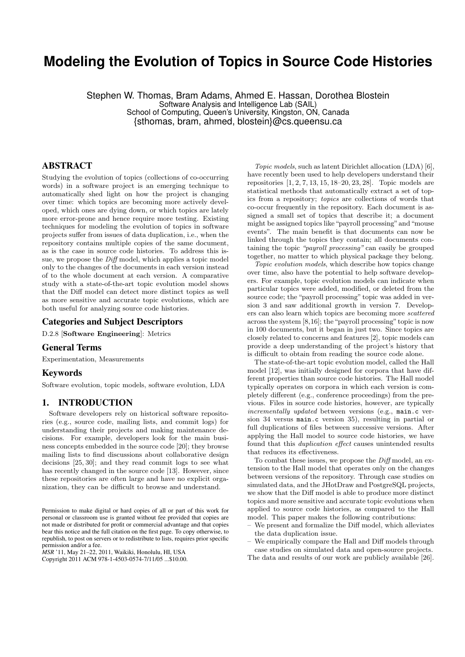# **Modeling the Evolution of Topics in Source Code Histories**

Stephen W. Thomas, Bram Adams, Ahmed E. Hassan, Dorothea Blostein Software Analysis and Intelligence Lab (SAIL) School of Computing, Queen's University, Kingston, ON, Canada {sthomas, bram, ahmed, blostein}@cs.queensu.ca

## ABSTRACT

Studying the evolution of topics (collections of co-occurring words) in a software project is an emerging technique to automatically shed light on how the project is changing over time: which topics are becoming more actively developed, which ones are dying down, or which topics are lately more error-prone and hence require more testing. Existing techniques for modeling the evolution of topics in software projects suffer from issues of data duplication, i.e., when the repository contains multiple copies of the same document, as is the case in source code histories. To address this issue, we propose the Diff model, which applies a topic model only to the changes of the documents in each version instead of to the whole document at each version. A comparative study with a state-of-the-art topic evolution model shows that the Diff model can detect more distinct topics as well as more sensitive and accurate topic evolutions, which are both useful for analyzing source code histories.

## Categories and Subject Descriptors

D.2.8 [Software Engineering]: Metrics

#### General Terms

Experimentation, Measurements

#### Keywords

Software evolution, topic models, software evolution, LDA

## 1. INTRODUCTION

Software developers rely on historical software repositories (e.g., source code, mailing lists, and commit logs) for understanding their projects and making maintenance decisions. For example, developers look for the main business concepts embedded in the source code [20]; they browse mailing lists to find discussions about collaborative design decisions [25, 30]; and they read commit logs to see what has recently changed in the source code [13]. However, since these repositories are often large and have no explicit organization, they can be difficult to browse and understand.

*MSR* '11, May 21–22, 2011, Waikiki, Honolulu, HI, USA

Copyright 2011 ACM 978-1-4503-0574-7/11/05 ...\$10.00.

Topic models, such as latent Dirichlet allocation (LDA) [6], have recently been used to help developers understand their repositories [1, 2, 7, 13, 15, 18–20, 23, 28]. Topic models are statistical methods that automatically extract a set of topics from a repository; topics are collections of words that co-occur frequently in the repository. Each document is assigned a small set of topics that describe it; a document might be assigned topics like "payroll processing"and "mouse events". The main benefit is that documents can now be linked through the topics they contain; all documents containing the topic "payroll processing" can easily be grouped together, no matter to which physical package they belong.

Topic evolution models, which describe how topics change over time, also have the potential to help software developers. For example, topic evolution models can indicate when particular topics were added, modified, or deleted from the source code; the "payroll processing" topic was added in version 3 and saw additional growth in version 7. Developers can also learn which topics are becoming more scattered across the system [8,16]; the "payroll processing" topic is now in 100 documents, but it began in just two. Since topics are closely related to concerns and features [2], topic models can provide a deep understanding of the project's history that is difficult to obtain from reading the source code alone.

The state-of-the-art topic evolution model, called the Hall model [12], was initially designed for corpora that have different properties than source code histories. The Hall model typically operates on corpora in which each version is completely different (e.g., conference proceedings) from the previous. Files in source code histories, however, are typically incrementally updated between versions (e.g., main.c version 34 versus main.c version 35), resulting in partial or full duplications of files between successive versions. After applying the Hall model to source code histories, we have found that this duplication effect causes unintended results that reduces its effectiveness.

To combat these issues, we propose the Diff model, an extension to the Hall model that operates only on the changes between versions of the repository. Through case studies on simulated data, and the JHotDraw and PostgreSQL projects, we show that the Diff model is able to produce more distinct topics and more sensitive and accurate topic evolutions when applied to source code histories, as compared to the Hall model. This paper makes the following contributions:

- We present and formalize the Diff model, which alleviates the data duplication issue.
- We empirically compare the Hall and Diff models through case studies on simulated data and open-source projects.
- The data and results of our work are publicly available [26].

Permission to make digital or hard copies of all or part of this work for personal or classroom use is granted without fee provided that copies are not made or distributed for profit or commercial advantage and that copies bear this notice and the full citation on the first page. To copy otherwise, to republish, to post on servers or to redistribute to lists, requires prior specific permission and/or a fee.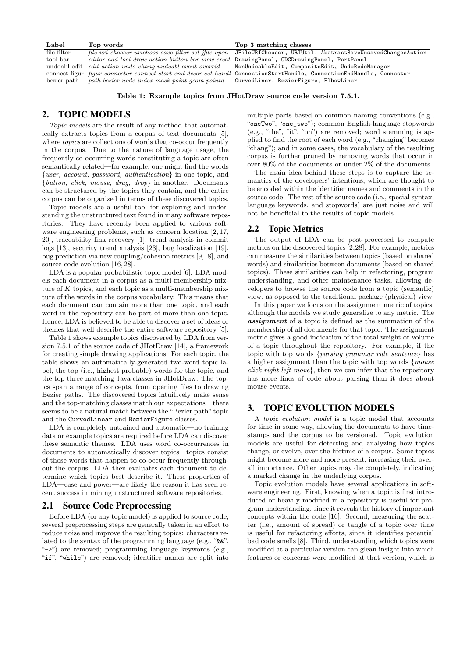| Label       | Top words                                                                                       | Top 3 matching classes                                                                                                |
|-------------|-------------------------------------------------------------------------------------------------|-----------------------------------------------------------------------------------------------------------------------|
| file filter |                                                                                                 | file uri chooser urichoos save filter set jfile open JFileURIChooser, URIUtil, AbstractSaveUnsavedChangesAction       |
| tool bar    | editor add tool draw action button bar view creat DrawingPanel, ODGDrawingPanel, PertPanel      |                                                                                                                       |
|             |                                                                                                 | undoabl edit edit action undo chang undoabl event overrid NonUndoableEdit, CompositeEdit, UndoRedoManager             |
|             |                                                                                                 | connect figur figur connector connect start end decor set handl ConnectionStartHandle, ConnectionEndHandle, Connector |
|             | bezier path path bezier node index mask point geom pointd CurvedLiner, BezierFigure, ElbowLiner |                                                                                                                       |

Table 1: Example topics from JHotDraw source code version 7.5.1.

# 2. TOPIC MODELS

Topic models are the result of any method that automatically extracts topics from a corpus of text documents [5], where *topics* are collections of words that co-occur frequently in the corpus. Due to the nature of language usage, the frequently co-occurring words constituting a topic are often semantically related—for example, one might find the words {user, account, password, authentication} in one topic, and  ${button, click, mouse, drag, drop}$  in another. Documents can be structured by the topics they contain, and the entire corpus can be organized in terms of these discovered topics.

Topic models are a useful tool for exploring and understanding the unstructured text found in many software repositories. They have recently been applied to various software engineering problems, such as concern location [2, 17, 20], traceability link recovery [1], trend analysis in commit logs [13], security trend analysis [23], bug localization [19], bug prediction via new coupling/cohesion metrics [9,18], and source code evolution [16, 28].

LDA is a popular probabilistic topic model [6]. LDA models each document in a corpus as a multi-membership mixture of  $K$  topics, and each topic as a multi-membership mixture of the words in the corpus vocabulary. This means that each document can contain more than one topic, and each word in the repository can be part of more than one topic. Hence, LDA is believed to be able to discover a set of ideas or themes that well describe the entire software repository [5].

Table 1 shows example topics discovered by LDA from version 7.5.1 of the source code of JHotDraw [14], a framework for creating simple drawing applications. For each topic, the table shows an automatically-generated two-word topic label, the top (i.e., highest probable) words for the topic, and the top three matching Java classes in JHotDraw. The topics span a range of concepts, from opening files to drawing Bezier paths. The discovered topics intuitively make sense and the top-matching classes match our expectations—there seems to be a natural match between the "Bezier path" topic and the CurvedLinear and BezierFigure classes.

LDA is completely untrained and automatic—no training data or example topics are required before LDA can discover these semantic themes. LDA uses word co-occurrences in documents to automatically discover topics—topics consist of those words that happen to co-occur frequently throughout the corpus. LDA then evaluates each document to determine which topics best describe it. These properties of LDA—ease and power—are likely the reason it has seen recent success in mining unstructured software repositories.

## 2.1 Source Code Preprocessing

Before LDA (or any topic model) is applied to source code, several preprocessing steps are generally taken in an effort to reduce noise and improve the resulting topics: characters related to the syntax of the programming language (e.g., "&&", "->") are removed; programming language keywords (e.g., "if", "while") are removed; identifier names are split into multiple parts based on common naming conventions (e.g., "oneTwo", "one\_two"); common English-language stopwords (e.g., "the", "it", "on") are removed; word stemming is applied to find the root of each word (e.g., "changing" becomes "chang"); and in some cases, the vocabulary of the resulting corpus is further pruned by removing words that occur in over 80% of the documents or under 2% of the documents.

The main idea behind these steps is to capture the semantics of the developers' intentions, which are thought to be encoded within the identifier names and comments in the source code. The rest of the source code (i.e., special syntax, language keywords, and stopwords) are just noise and will not be beneficial to the results of topic models.

## 2.2 Topic Metrics

The output of LDA can be post-processed to compute metrics on the discovered topics [2,28]. For example, metrics can measure the similarities between topics (based on shared words) and similarities between documents (based on shared topics). These similarities can help in refactoring, program understanding, and other maintenance tasks, allowing developers to browse the source code from a topic (semantic) view, as opposed to the traditional package (physical) view.

In this paper we focus on the assignment metric of topics, although the models we study generalize to any metric. The assignment of a topic is defined as the summation of the membership of all documents for that topic. The assignment metric gives a good indication of the total weight or volume of a topic throughout the repository. For example, if the topic with top words {parsing grammar rule sentence} has a higher assignment than the topic with top words  ${mouse}$ click right left move}, then we can infer that the repository has more lines of code about parsing than it does about mouse events.

## 3. TOPIC EVOLUTION MODELS

A topic evolution model is a topic model that accounts for time in some way, allowing the documents to have timestamps and the corpus to be versioned. Topic evolution models are useful for detecting and analyzing how topics change, or evolve, over the lifetime of a corpus. Some topics might become more and more present, increasing their overall importance. Other topics may die completely, indicating a marked change in the underlying corpus.

Topic evolution models have several applications in software engineering. First, knowing when a topic is first introduced or heavily modified in a repository is useful for program understanding, since it reveals the history of important concepts within the code [16]. Second, measuring the scatter (i.e., amount of spread) or tangle of a topic over time is useful for refactoring efforts, since it identifies potential bad code smells [8]. Third, understanding which topics were modified at a particular version can glean insight into which features or concerns were modified at that version, which is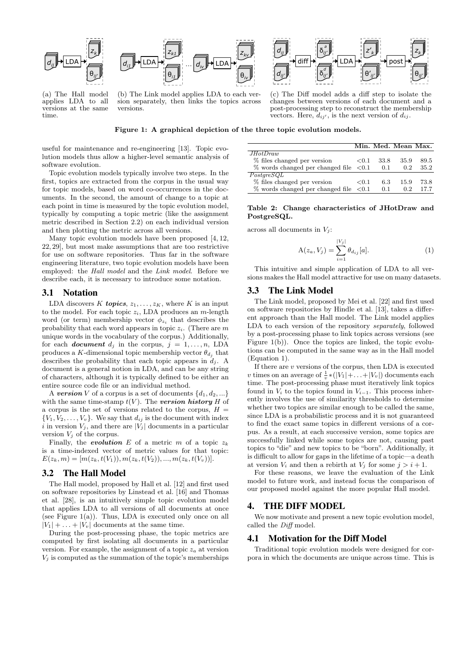



(a) The Hall model applies LDA to all versions at the same time.

(b) The Link model applies LDA to each version separately, then links the topics across versions.

 $\delta^\omega_{ij'}$ LDA *z<sup>k</sup>*  $\Theta_{ij\prime}$  $\delta_{ij'}^{\sigma}$  $d_{ij'_-}$ *dij* diff *a d z*¶ *k*  $\theta$ *LM¶* post

(c) The Diff model adds a diff step to isolate the changes between versions of each document and a post-processing step to reconstruct the membership vectors. Here,  $d_{ij'}$ , is the next version of  $d_{ij}$ .

Figure 1: A graphical depiction of the three topic evolution models.

useful for maintenance and re-engineering [13]. Topic evolution models thus allow a higher-level semantic analysis of software evolution.

Topic evolution models typically involve two steps. In the first, topics are extracted from the corpus in the usual way for topic models, based on word co-occurrences in the documents. In the second, the amount of change to a topic at each point in time is measured by the topic evolution model, typically by computing a topic metric (like the assignment metric described in Section 2.2) on each individual version and then plotting the metric across all versions.

Many topic evolution models have been proposed [4, 12, 22, 29], but most make assumptions that are too restrictive for use on software repositories. Thus far in the software engineering literature, two topic evolution models have been employed: the Hall model and the Link model. Before we describe each, it is necessary to introduce some notation.

## 3.1 Notation

LDA discovers K topics,  $z_1, \ldots, z_K$ , where K is an input to the model. For each topic  $z_i$ , LDA produces an m-length word (or term) membership vector  $\phi_{z_i}$  that describes the probability that each word appears in topic  $z_i$ . (There are m unique words in the vocabulary of the corpus.) Additionally, for each **document**  $d_j$  in the corpus,  $j = 1, \ldots, n$ , LDA produces a K-dimensional topic membership vector  $\theta_{d_j}$  that describes the probability that each topic appears in  $d_i$ . A document is a general notion in LDA, and can be any string of characters, although it is typically defined to be either an entire source code file or an individual method.

A version V of a corpus is a set of documents  $\{d_1, d_2, ...\}$ with the same time-stamp  $t(V)$ . The version history H of a corpus is the set of versions related to the corpus,  $H =$  $\{V_1, V_2, \ldots, V_v\}$ . We say that  $d_{ij}$  is the document with index i in version  $V_j$ , and there are  $|V_j|$  documents in a particular version  $V_j$  of the corpus.

Finally, the *evolution* E of a metric m of a topic  $z_k$ is a time-indexed vector of metric values for that topic:  $E(z_k, m) = [m(z_k, t(V_1)), m(z_k, t(V_2)), ..., m(z_k, t(V_v))].$ 

## 3.2 The Hall Model

The Hall model, proposed by Hall et al. [12] and first used on software repositories by Linstead et al. [16] and Thomas et al. [28], is an intuitively simple topic evolution model that applies LDA to all versions of all documents at once (see Figure  $1(a)$ ). Thus, LDA is executed only once on all  $|V_1| + \ldots + |V_v|$  documents at the same time.

During the post-processing phase, the topic metrics are computed by first isolating all documents in a particular version. For example, the assignment of a topic  $z_a$  at version  $V_j$  is computed as the summation of the topic's memberships

|                                                |            |      | Min. Med. Mean Max. |      |
|------------------------------------------------|------------|------|---------------------|------|
| JHotDraw                                       |            |      |                     |      |
| % files changed per version                    | $\leq 0.1$ | 33.8 | 35.9                | 89.5 |
| $\%$ words changed per changed file $\leq 0.1$ |            | 0.1  | $0.2^{\circ}$       | 35.2 |
| PostaresQL                                     |            |      |                     |      |
| % files changed per version                    | < 0.1      | 6.3  | 15.9                | 73.8 |
| % words changed per changed file               | < 0.1      | 0.1  | 0.2                 | 17.7 |

#### Table 2: Change characteristics of JHotDraw and PostgreSQL.

across all documents in  $V_i$ :

$$
A(z_a, V_j) = \sum_{i=1}^{|V_j|} \theta_{d_{ij}}[a].
$$
 (1)

This intuitive and simple application of LDA to all versions makes the Hall model attractive for use on many datasets.

#### 3.3 The Link Model

The Link model, proposed by Mei et al. [22] and first used on software repositories by Hindle et al. [13], takes a different approach than the Hall model. The Link model applies LDA to each version of the repository separately, followed by a post-processing phase to link topics across versions (see Figure 1(b)). Once the topics are linked, the topic evolutions can be computed in the same way as in the Hall model (Equation 1).

If there are  $v$  versions of the corpus, then LDA is executed v times on an average of  $\frac{1}{v}$  \*(|V<sub>1</sub>|+...+|V<sub>v</sub>|) documents each time. The post-processing phase must iteratively link topics found in  $V_i$  to the topics found in  $V_{i-1}$ . This process inherently involves the use of similarity thresholds to determine whether two topics are similar enough to be called the same, since LDA is a probabilistic process and it is not guaranteed to find the exact same topics in different versions of a corpus. As a result, at each successive version, some topics are successfully linked while some topics are not, causing past topics to "die" and new topics to be "born". Additionally, it is difficult to allow for gaps in the lifetime of a topic—a death at version  $V_i$  and then a rebirth at  $V_j$  for some  $j > i + 1$ .

For these reasons, we leave the evaluation of the Link model to future work, and instead focus the comparison of our proposed model against the more popular Hall model.

## 4. THE DIFF MODEL

We now motivate and present a new topic evolution model, called the Diff model.

#### 4.1 Motivation for the Diff Model

Traditional topic evolution models were designed for corpora in which the documents are unique across time. This is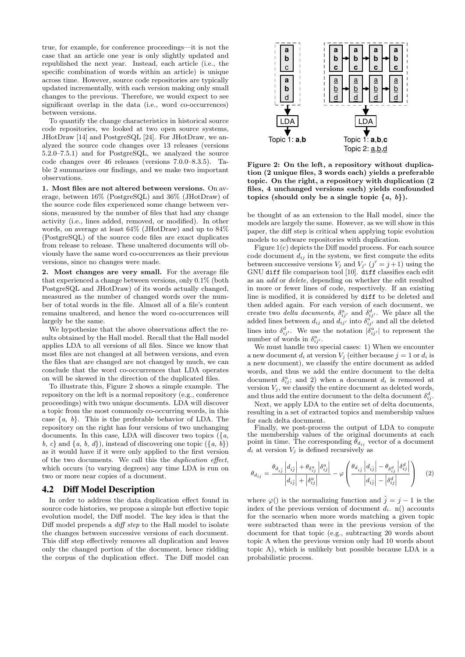true, for example, for conference proceedings—it is not the case that an article one year is only slightly updated and republished the next year. Instead, each article (i.e., the specific combination of words within an article) is unique across time. However, source code repositories are typically updated incrementally, with each version making only small changes to the previous. Therefore, we would expect to see significant overlap in the data (i.e., word co-occurrences) between versions.

To quantify the change characteristics in historical source code repositories, we looked at two open source systems, JHotDraw [14] and PostgreSQL [24]. For JHotDraw, we analyzed the source code changes over 13 releases (versions 5.2.0–7.5.1) and for PostgreSQL, we analyzed the source code changes over 46 releases (versions 7.0.0–8.3.5). Table 2 summarizes our findings, and we make two important observations.

1. Most files are not altered between versions. On average, between 16% (PostgreSQL) and 36% (JHotDraw) of the source code files experienced some change between versions, measured by the number of files that had any change activity (i.e., lines added, removed, or modified). In other words, on average at least 64% (JHotDraw) and up to 84% (PostgreSQL) of the source code files are exact duplicates from release to release. These unaltered documents will obviously have the same word co-occurrences as their previous versions, since no changes were made.

2. Most changes are very small. For the average file that experienced a change between versions, only 0.1% (both PostgreSQL and JHotDraw) of its words actually changed, measured as the number of changed words over the number of total words in the file. Almost all of a file's content remains unaltered, and hence the word co-occurrences will largely be the same.

We hypothesize that the above observations affect the results obtained by the Hall model. Recall that the Hall model applies LDA to all versions of all files. Since we know that most files are not changed at all between versions, and even the files that are changed are not changed by much, we can conclude that the word co-occurrences that LDA operates on will be skewed in the direction of the duplicated files.

To illustrate this, Figure 2 shows a simple example. The repository on the left is a normal repository (e.g., conference proceedings) with two unique documents. LDA will discover a topic from the most commonly co-occurring words, in this case  $\{a, b\}$ . This is the preferable behavior of LDA. The repository on the right has four versions of two unchanging documents. In this case, LDA will discover two topics  $({a, \, \ldots, a})$ b, c} and  $\{a, b, d\}$ , instead of discovering one topic  $(\{a, b\})$ as it would have if it were only applied to the first version of the two documents. We call this the duplication effect, which occurs (to varying degrees) any time LDA is run on two or more near copies of a document.

#### 4.2 Diff Model Description

In order to address the data duplication effect found in source code histories, we propose a simple but effective topic evolution model, the Diff model. The key idea is that the Diff model prepends a diff step to the Hall model to isolate the changes between successive versions of each document. This diff step effectively removes all duplication and leaves only the changed portion of the document, hence ridding the corpus of the duplication effect. The Diff model can



Figure 2: On the left, a repository without duplication (2 unique files, 3 words each) yields a preferable topic. On the right, a repository with duplication (2 files, 4 unchanged versions each) yields confounded topics (should only be a single topic  $\{a, b\}$ ).

be thought of as an extension to the Hall model, since the models are largely the same. However, as we will show in this paper, the diff step is critical when applying topic evolution models to software repositories with duplication.

Figure 1(c) depicts the Diff model process. For each source code document  $d_{ij}$  in the system, we first compute the edits between successive versions  $V_j$  and  $V_{j'}$   $(j' = j + 1)$  using the GNU diff file comparison tool [10]. diff classifies each edit as an add or delete, depending on whether the edit resulted in more or fewer lines of code, respectively. If an existing line is modified, it is considered by diff to be deleted and then added again. For each version of each document, we create two *delta documents*,  $\delta_{ij}^a$  and  $\delta_{ij}^d$ . We place all the added lines between  $d_{ij}$  and  $d_{ij'}$  into  $\delta_{ij'}^{a'}$  and all the deleted lines into  $\delta_{ij}^d$ . We use the notation  $|\delta_{ij}^a|$  to represent the number of words in  $\delta_{ij}^a$ .

We must handle two special cases: 1) When we encounter a new document  $d_i$  at version  $V_j$  (either because  $j = 1$  or  $d_i$  is a new document), we classify the entire document as added words, and thus we add the entire document to the delta document  $\delta_{ij}^a$ ; and 2) when a document  $d_i$  is removed at version  $V_j$ , we classify the entire document as deleted words, and thus add the entire document to the delta document  $\delta_{ij}^d$ .

Next, we apply LDA to the entire set of delta documents, resulting in a set of extracted topics and membership values for each delta document.

Finally, we post-process the output of LDA to compute the membership values of the original documents at each point in time. The corresponding  $\bar{\theta}_{d_{ij}}$  vector of a document  $d_i$  at version  $V_i$  is defined recursively as

$$
\theta_{d_{ij}} = \frac{\theta_{d_{ij}} \left| d_{ij} \right| + \theta_{\delta_{ij}} \left| \delta_{ij}^{a} \right|}{\left| d_{ij} \right| + \left| \delta_{ij}^{a} \right|} - \varphi \left( \frac{\theta_{d_{ij}} \left| d_{ij} \right| - \theta_{\delta_{ij}} \left| \delta_{ij}^{d} \right|}{\left| d_{ij} \right| - \left| \delta_{ij}^{d} \right|} \right) \tag{2}
$$

where  $\varphi()$  is the normalizing function and  $\hat{j} = j - 1$  is the index of the previous version of document  $d_i$ . n() accounts for the scenario when more words matching a given topic were subtracted than were in the previous version of the document for that topic (e.g., subtracting 20 words about topic A when the previous version only had 10 words about topic A), which is unlikely but possible because LDA is a probabilistic process.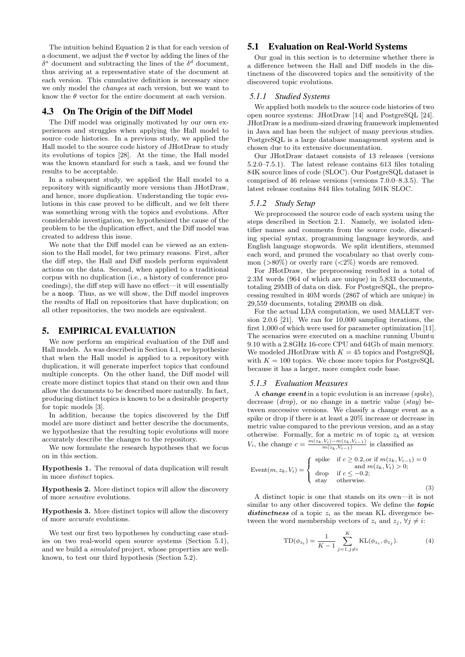The intuition behind Equation 2 is that for each version of a document, we adjust the  $\theta$  vector by adding the lines of the  $\delta^a$  document and subtracting the lines of the  $\delta^d$  document, thus arriving at a representative state of the document at each version. This cumulative definition is necessary since we only model the changes at each version, but we want to know the  $\theta$  vector for the entire document at each version.

# 4.3 On The Origin of the Diff Model

The Diff model was originally motivated by our own experiences and struggles when applying the Hall model to source code histories. In a previous study, we applied the Hall model to the source code history of JHotDraw to study its evolutions of topics [28]. At the time, the Hall model was the known standard for such a task, and we found the results to be acceptable.

In a subsequent study, we applied the Hall model to a repository with significantly more versions than JHotDraw, and hence, more duplication. Understanding the topic evolutions in this case proved to be difficult, and we felt there was something wrong with the topics and evolutions. After considerable investigation, we hypothesized the cause of the problem to be the duplication effect, and the Diff model was created to address this issue.

We note that the Diff model can be viewed as an extension to the Hall model, for two primary reasons. First, after the diff step, the Hall and Diff models perform equivalent actions on the data. Second, when applied to a traditional corpus with no duplication (i.e., a history of conference proceedings), the diff step will have no effect—it will essentially be a noop. Thus, as we will show, the Diff model improves the results of Hall on repositories that have duplication; on all other repositories, the two models are equivalent.

#### 5. EMPIRICAL EVALUATION

We now perform an empirical evaluation of the Diff and Hall models. As was described in Section 4.1, we hypothesize that when the Hall model is applied to a repository with duplication, it will generate imperfect topics that confound multiple concepts. On the other hand, the Diff model will create more distinct topics that stand on their own and thus allow the documents to be described more naturally. In fact, producing distinct topics is known to be a desirable property for topic models [3].

In addition, because the topics discovered by the Diff model are more distinct and better describe the documents, we hypothesize that the resulting topic evolutions will more accurately describe the changes to the repository.

We now formulate the research hypotheses that we focus on in this section.

Hypothesis 1. The removal of data duplication will result in more distinct topics.

Hypothesis 2. More distinct topics will allow the discovery of more sensitive evolutions.

Hypothesis 3. More distinct topics will allow the discovery of more accurate evolutions.

We test our first two hypotheses by conducting case studies on two real-world open source systems (Section 5.1), and we build a simulated project, whose properties are wellknown, to test our third hypothesis (Section 5.2).

#### 5.1 Evaluation on Real-World Systems

Our goal in this section is to determine whether there is a difference between the Hall and Diff models in the distinctness of the discovered topics and the sensitivity of the discovered topic evolutions.

#### *5.1.1 Studied Systems*

We applied both models to the source code histories of two open source systems: JHotDraw [14] and PostgreSQL [24]. JHotDraw is a medium-sized drawing framework implemented in Java and has been the subject of many previous studies. PostgreSQL is a large database management system and is chosen due to its extensive documentation.

Our JHotDraw dataset consists of 13 releases (versions 5.2.0–7.5.1). The latest release contains 613 files totaling 84K source lines of code (SLOC). Our PostgreSQL dataset is comprised of 46 release versions (versions 7.0.0–8.3.5). The latest release contains 844 files totaling 501K SLOC.

#### *5.1.2 Study Setup*

We preprocessed the source code of each system using the steps described in Section 2.1. Namely, we isolated identifier names and comments from the source code, discarding special syntax, programming language keywords, and English language stopwords. We split identifiers, stemmed each word, and pruned the vocabulary so that overly common ( $>80\%$ ) or overly rare ( $<2\%$ ) words are removed.

For JHotDraw, the preprocessing resulted in a total of 2.3M words (964 of which are unique) in 5,833 documents, totaling 29MB of data on disk. For PostgreSQL, the preprocessing resulted in 40M words (2867 of which are unique) in 29,559 documents, totaling 299MB on disk.

For the actual LDA computation, we used MALLET version 2.0.6 [21]. We ran for 10,000 sampling iterations, the first 1,000 of which were used for parameter optimization [11]. The scenarios were executed on a machine running Ubuntu 9.10 with a 2.8GHz 16-core CPU and 64Gb of main memory. We modeled JHotDraw with  $K = 45$  topics and PostgreSQL with  $K = 100$  topics. We chose more topics for PostgreSQL because it has a larger, more complex code base.

#### *5.1.3 Evaluation Measures*

A *change event* in a topic evolution is an increase  $(spike)$ , decrease  $(drop)$ , or no change in a metric value  $(stag)$  between successive versions. We classify a change event as a spike or drop if there is at least a 20% increase or decrease in metric value compared to the previous version, and as a stay otherwise. Formally, for a metric  $m$  of topic  $z_k$  at version  $V_i$ , the change  $c = \frac{m(z_k, V_i) - m(z_k, V_{i-1})}{m(z_k, V_{i-1})}$  is classified as

$$
\text{Event}(m, z_k, V_i) = \begin{cases} \text{spike} & \text{if } c \ge 0.2, \text{or if } m(z_k, V_{i-1}) = 0 \\ \text{and } m(z_k, V_i) > 0; \\ \text{drop} & \text{if } c \le -0.2; \\ \text{stay} & \text{otherwise.} \end{cases} \tag{3}
$$

A distinct topic is one that stands on its own—it is not similar to any other discovered topics. We define the **topic** distinctness of a topic  $z_i$  as the mean KL divergence between the word membership vectors of  $z_i$  and  $z_j$ ,  $\forall j \neq i$ :

$$
TD(\phi_{z_i}) = \frac{1}{K - 1} \sum_{j=1, j \neq i}^{K} KL(\phi_{z_i}, \phi_{z_j}).
$$
 (4)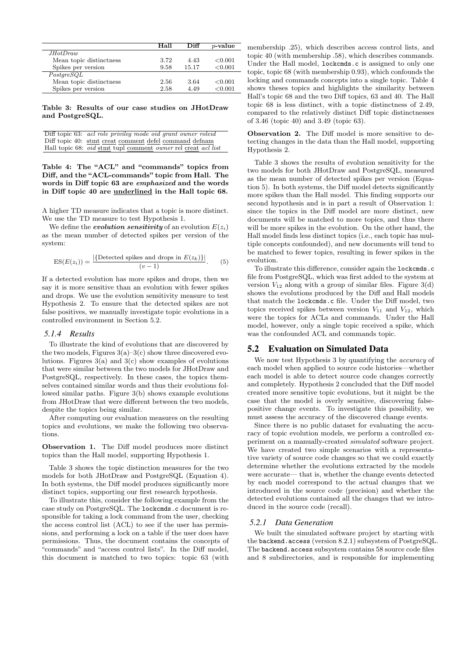|                         | Hall | $\bf{Diff}$ | <i>p</i> -value |
|-------------------------|------|-------------|-----------------|
| JHotDraw                |      |             |                 |
| Mean topic distinctness | 3.72 | 4.43        | ${<}0.001$      |
| Spikes per version      | 9.58 | 15.17       | < 0.001         |
| PostaresQL              |      |             |                 |
| Mean topic distinctness | 2.56 | 3.64        | < 0.001         |
| Spikes per version      | 2.58 | 4.49        | < 0.001         |

Table 3: Results of our case studies on JHotDraw and PostgreSQL.

| Diff topic 63: acl role privileg mode oid grant owner roleid                       |
|------------------------------------------------------------------------------------|
| Diff topic 40: stmt creat comment defel command defnam                             |
| Hall topic 68: <i>oid</i> stmt tupl comment <i>owner</i> rel creat <i>acl list</i> |

Table 4: The "ACL" and "commands" topics from Diff, and the "ACL-commands" topic from Hall. The words in Diff topic 63 are emphasized and the words in Diff topic 40 are underlined in the Hall topic 68.

A higher TD measure indicates that a topic is more distinct. We use the TD measure to test Hypothesis 1.

We define the *evolution sensitivity* of an evolution  $E(z_i)$ as the mean number of detected spikes per version of the system:

$$
ES(E(z_i)) = \frac{|\{\text{Detected spikes and drops in } E(z_k)\}|}{(v-1)}.
$$
 (5)

If a detected evolution has more spikes and drops, then we say it is more sensitive than an evolution with fewer spikes and drops. We use the evolution sensitivity measure to test Hypothesis 2. To ensure that the detected spikes are not false positives, we manually investigate topic evolutions in a controlled environment in Section 5.2.

#### *5.1.4 Results*

To illustrate the kind of evolutions that are discovered by the two models, Figures  $3(a)-3(c)$  show three discovered evolutions. Figures  $3(a)$  and  $3(c)$  show examples of evolutions that were similar between the two models for JHotDraw and PostgreSQL, respectively. In these cases, the topics themselves contained similar words and thus their evolutions followed similar paths. Figure 3(b) shows example evolutions from JHotDraw that were different between the two models, despite the topics being similar.

After computing our evaluation measures on the resulting topics and evolutions, we make the following two observations.

Observation 1. The Diff model produces more distinct topics than the Hall model, supporting Hypothesis 1.

Table 3 shows the topic distinction measures for the two models for both JHotDraw and PostgreSQL (Equation 4). In both systems, the Diff model produces significantly more distinct topics, supporting our first research hypothesis.

To illustrate this, consider the following example from the case study on PostgreSQL. The lockcmds.c document is responsible for taking a lock command from the user, checking the access control list (ACL) to see if the user has permissions, and performing a lock on a table if the user does have permissions. Thus, the document contains the concepts of "commands" and "access control lists". In the Diff model, this document is matched to two topics: topic 63 (with

membership .25), which describes access control lists, and topic 40 (with membership .58), which describes commands. Under the Hall model, lockcmds.c is assigned to only one topic, topic 68 (with membership 0.93), which confounds the locking and commands concepts into a single topic. Table 4 shows theses topics and highlights the similarity between Hall's topic 68 and the two Diff topics, 63 and 40. The Hall topic 68 is less distinct, with a topic distinctness of 2.49, compared to the relatively distinct Diff topic distinctnesses of 3.46 (topic 40) and 3.49 (topic 63).

Observation 2. The Diff model is more sensitive to detecting changes in the data than the Hall model, supporting Hypothesis 2.

Table 3 shows the results of evolution sensitivity for the two models for both JHotDraw and PostgreSQL, measured as the mean number of detected spikes per version (Equation 5). In both systems, the Diff model detects significantly more spikes than the Hall model. This finding supports our second hypothesis and is in part a result of Observation 1: since the topics in the Diff model are more distinct, new documents will be matched to more topics, and thus there will be more spikes in the evolution. On the other hand, the Hall model finds less distinct topics (i.e., each topic has multiple concepts confounded), and new documents will tend to be matched to fewer topics, resulting in fewer spikes in the evolution.

To illustrate this difference, consider again the lockcmds.c file from PostgreSQL, which was first added to the system at version  $V_{12}$  along with a group of similar files. Figure 3(d) shows the evolutions produced by the Diff and Hall models that match the lockcmds.c file. Under the Diff model, two topics received spikes between version  $V_{11}$  and  $V_{12}$ , which were the topics for ACLs and commands. Under the Hall model, however, only a single topic received a spike, which was the confounded ACL and commands topic.

## 5.2 Evaluation on Simulated Data

We now test Hypothesis 3 by quantifying the *accuracy* of each model when applied to source code histories—whether each model is able to detect source code changes correctly and completely. Hypothesis 2 concluded that the Diff model created more sensitive topic evolutions, but it might be the case that the model is overly sensitive, discovering falsepositive change events. To investigate this possibility, we must assess the accuracy of the discovered change events.

Since there is no public dataset for evaluating the accuracy of topic evolution models, we perform a controlled experiment on a manually-created simulated software project. We have created two simple scenarios with a representative variety of source code changes so that we could exactly determine whether the evolutions extracted by the models were accurate— that is, whether the change events detected by each model correspond to the actual changes that we introduced in the source code (precision) and whether the detected evolutions contained all the changes that we introduced in the source code (recall).

#### *5.2.1 Data Generation*

We built the simulated software project by starting with the backend.access (version 8.2.1) subsystem of PostgreSQL. The backend.access subsystem contains 58 source code files and 8 subdirectories, and is responsible for implementing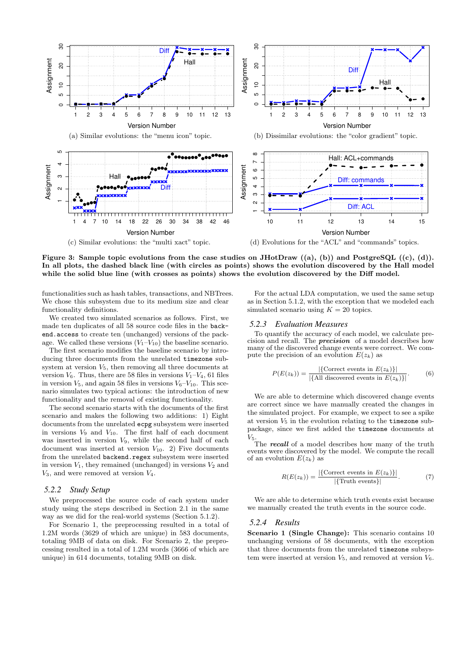

Figure 3: Sample topic evolutions from the case studies on JHotDraw  $((a), (b))$  and PostgreSQL  $((c), (d))$ . In all plots, the dashed black line (with circles as points) shows the evolution discovered by the Hall model while the solid blue line (with crosses as points) shows the evolution discovered by the Diff model.

functionalities such as hash tables, transactions, and NBTrees. We chose this subsystem due to its medium size and clear functionality definitions.

We created two simulated scenarios as follows. First, we made ten duplicates of all 58 source code files in the backend.access to create ten (unchanged) versions of the package. We called these versions  $(V_1 - V_{10})$  the baseline scenario.

The first scenario modifies the baseline scenario by introducing three documents from the unrelated timezone subsystem at version  $V_5$ , then removing all three documents at version  $V_6$ . Thus, there are 58 files in versions  $V_1-V_4$ , 61 files in version  $V_5$ , and again 58 files in versions  $V_6-V_{10}$ . This scenario simulates two typical actions: the introduction of new functionality and the removal of existing functionality.

The second scenario starts with the documents of the first scenario and makes the following two additions: 1) Eight documents from the unrelated ecpg subsystem were inserted in versions  $V_9$  and  $V_{10}$ . The first half of each document was inserted in version  $V_9$ , while the second half of each document was inserted at version  $V_{10}$ . 2) Five documents from the unrelated backend.regex subsystem were inserted in version  $V_1$ , they remained (unchanged) in versions  $V_2$  and  $V_3$ , and were removed at version  $V_4$ .

#### *5.2.2 Study Setup*

We preprocessed the source code of each system under study using the steps described in Section 2.1 in the same way as we did for the real-world systems (Section 5.1.2).

For Scenario 1, the preprocessing resulted in a total of 1.2M words (3629 of which are unique) in 583 documents, totaling 9MB of data on disk. For Scenario 2, the preprocessing resulted in a total of 1.2M words (3666 of which are unique) in 614 documents, totaling 9MB on disk.

For the actual LDA computation, we used the same setup as in Section 5.1.2, with the exception that we modeled each simulated scenario using  $K = 20$  topics.

#### *5.2.3 Evaluation Measures*

To quantify the accuracy of each model, we calculate precision and recall. The precision of a model describes how many of the discovered change events were correct. We compute the precision of an evolution  $E(z_k)$  as

$$
P(E(z_k)) = \frac{|\{\text{Correct events in } E(z_k)\}|}{|\{\text{All discovered events in } E(z_k)\}|}.
$$
 (6)

We are able to determine which discovered change events are correct since we have manually created the changes in the simulated project. For example, we expect to see a spike at version  $V_5$  in the evolution relating to the timezone subpackage, since we first added the timezone documents at  $V_5$ .

The **recall** of a model describes how many of the truth events were discovered by the model. We compute the recall of an evolution  $E(z_k)$  as

$$
R(E(z_k)) = \frac{|\{\text{Correct events in } E(z_k)\}|}{|\{\text{Truth events}\}|}.
$$
 (7)

We are able to determine which truth events exist because we manually created the truth events in the source code.

#### *5.2.4 Results*

Scenario 1 (Single Change): This scenario contains 10 unchanging versions of 58 documents, with the exception that three documents from the unrelated timezone subsystem were inserted at version  $V_5$ , and removed at version  $V_6$ .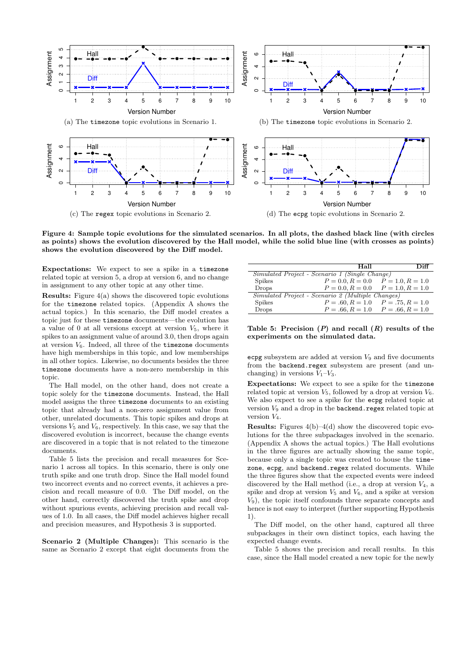

Figure 4: Sample topic evolutions for the simulated scenarios. In all plots, the dashed black line (with circles as points) shows the evolution discovered by the Hall model, while the solid blue line (with crosses as points) shows the evolution discovered by the Diff model.

Expectations: We expect to see a spike in a timezone related topic at version 5, a drop at version 6, and no change in assignment to any other topic at any other time.

Results: Figure 4(a) shows the discovered topic evolutions for the timezone related topics. (Appendix A shows the actual topics.) In this scenario, the Diff model creates a topic just for these timezone documents—the evolution has a value of 0 at all versions except at version  $V_5$ , where it spikes to an assignment value of around 3.0, then drops again at version  $V_6$ . Indeed, all three of the timezone documents have high memberships in this topic, and low memberships in all other topics. Likewise, no documents besides the three timezone documents have a non-zero membership in this topic.

The Hall model, on the other hand, does not create a topic solely for the timezone documents. Instead, the Hall model assigns the three timezone documents to an existing topic that already had a non-zero assignment value from other, unrelated documents. This topic spikes and drops at versions  $V_5$  and  $V_6$ , respectively. In this case, we say that the discovered evolution is incorrect, because the change events are discovered in a topic that is not related to the timezone documents.

Table 5 lists the precision and recall measures for Scenario 1 across all topics. In this scenario, there is only one truth spike and one truth drop. Since the Hall model found two incorrect events and no correct events, it achieves a precision and recall measure of 0.0. The Diff model, on the other hand, correctly discovered the truth spike and drop without spurious events, achieving precision and recall values of 1.0. In all cases, the Diff model achieves higher recall and precision measures, and Hypothesis 3 is supported.

Scenario 2 (Multiple Changes): This scenario is the same as Scenario 2 except that eight documents from the

|               | Hall                                              | $\bf{Diff}$                           |
|---------------|---------------------------------------------------|---------------------------------------|
|               | Simulated Project - Scenario 1 (Single Change)    |                                       |
| Spikes        |                                                   | $P = 0.0, R = 0.0$ $P = 1.0, R = 1.0$ |
| Drops         |                                                   | $P = 0.0, R = 0.0$ $P = 1.0, R = 1.0$ |
|               | Simulated Project - Scenario 2 (Multiple Changes) |                                       |
| <b>Spikes</b> |                                                   | $P = .60, R = 1.0$ $P = .75, R = 1.0$ |
| Drops         |                                                   | $P = .66, R = 1.0$ $P = .66, R = 1.0$ |

Table 5: Precision  $(P)$  and recall  $(R)$  results of the experiments on the simulated data.

ecpg subsystem are added at version  $V_9$  and five documents from the backend.regex subsystem are present (and unchanging) in versions  $V_1-V_3$ .

Expectations: We expect to see a spike for the timezone related topic at version  $V_5$ , followed by a drop at version  $V_6$ . We also expect to see a spike for the ecpg related topic at version  $V_9$  and a drop in the backend.regex related topic at version  $V_4$ .

**Results:** Figures  $4(b)-4(d)$  show the discovered topic evolutions for the three subpackages involved in the scenario. (Appendix A shows the actual topics.) The Hall evolutions in the three figures are actually showing the same topic, because only a single topic was created to house the timezone, ecpg, and backend.regex related documents. While the three figures show that the expected events were indeed discovered by the Hall method (i.e., a drop at version  $V_4$ , a spike and drop at version  $V_5$  and  $V_6$ , and a spike at version  $V_9$ ), the topic itself confounds three separate concepts and hence is not easy to interpret (further supporting Hypothesis 1).

The Diff model, on the other hand, captured all three subpackages in their own distinct topics, each having the expected change events.

Table 5 shows the precision and recall results. In this case, since the Hall model created a new topic for the newly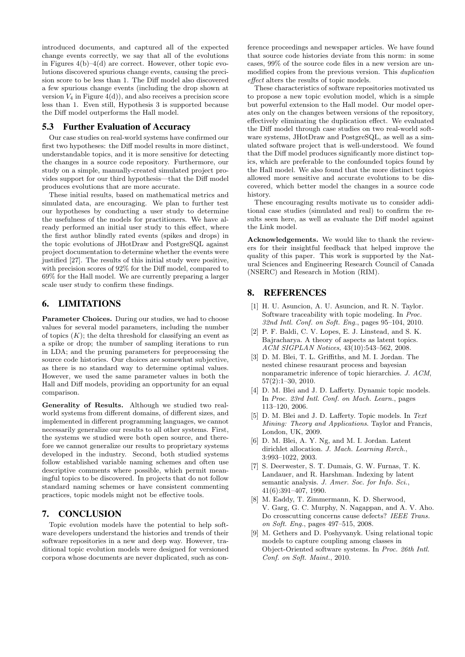introduced documents, and captured all of the expected change events correctly, we say that all of the evolutions in Figures 4(b)–4(d) are correct. However, other topic evolutions discovered spurious change events, causing the precision score to be less than 1. The Diff model also discovered a few spurious change events (including the drop shown at version  $V_4$  in Figure  $4(d)$ , and also receives a precision score less than 1. Even still, Hypothesis 3 is supported because the Diff model outperforms the Hall model.

## 5.3 Further Evaluation of Accuracy

Our case studies on real-world systems have confirmed our first two hypotheses: the Diff model results in more distinct, understandable topics, and it is more sensitive for detecting the changes in a source code repository. Furthermore, our study on a simple, manually-created simulated project provides support for our third hypothesis—that the Diff model produces evolutions that are more accurate.

These initial results, based on mathematical metrics and simulated data, are encouraging. We plan to further test our hypotheses by conducting a user study to determine the usefulness of the models for practitioners. We have already performed an initial user study to this effect, where the first author blindly rated events (spikes and drops) in the topic evolutions of JHotDraw and PostgreSQL against project documentation to determine whether the events were justified [27]. The results of this initial study were positive, with precision scores of 92% for the Diff model, compared to 69% for the Hall model. We are currently preparing a larger scale user study to confirm these findings.

# 6. LIMITATIONS

Parameter Choices. During our studies, we had to choose values for several model parameters, including the number of topics  $(K)$ ; the delta threshold for classifying an event as a spike or drop; the number of sampling iterations to run in LDA; and the pruning parameters for preprocessing the source code histories. Our choices are somewhat subjective, as there is no standard way to determine optimal values. However, we used the same parameter values in both the Hall and Diff models, providing an opportunity for an equal comparison.

Generality of Results. Although we studied two realworld systems from different domains, of different sizes, and implemented in different programming languages, we cannot necessarily generalize our results to all other systems. First, the systems we studied were both open source, and therefore we cannot generalize our results to proprietary systems developed in the industry. Second, both studied systems follow established variable naming schemes and often use descriptive comments where possible, which permit meaningful topics to be discovered. In projects that do not follow standard naming schemes or have consistent commenting practices, topic models might not be effective tools.

# 7. CONCLUSION

Topic evolution models have the potential to help software developers understand the histories and trends of their software repositories in a new and deep way. However, traditional topic evolution models were designed for versioned corpora whose documents are never duplicated, such as con-

ference proceedings and newspaper articles. We have found that source code histories deviate from this norm: in some cases, 99% of the source code files in a new version are unmodified copies from the previous version. This duplication effect alters the results of topic models.

These characteristics of software repositories motivated us to propose a new topic evolution model, which is a simple but powerful extension to the Hall model. Our model operates only on the changes between versions of the repository, effectively eliminating the duplication effect. We evaluated the Diff model through case studies on two real-world software systems, JHotDraw and PostgreSQL, as well as a simulated software project that is well-understood. We found that the Diff model produces significantly more distinct topics, which are preferable to the confounded topics found by the Hall model. We also found that the more distinct topics allowed more sensitive and accurate evolutions to be discovered, which better model the changes in a source code history.

These encouraging results motivate us to consider additional case studies (simulated and real) to confirm the results seen here, as well as evaluate the Diff model against the Link model.

Acknowledgements. We would like to thank the reviewers for their insightful feedback that helped improve the quality of this paper. This work is supported by the Natural Sciences and Engineering Research Council of Canada (NSERC) and Research in Motion (RIM).

## 8. REFERENCES

- [1] H. U. Asuncion, A. U. Asuncion, and R. N. Taylor. Software traceability with topic modeling. In Proc. 32nd Intl. Conf. on Soft. Eng., pages 95–104, 2010.
- [2] P. F. Baldi, C. V. Lopes, E. J. Linstead, and S. K. Bajracharya. A theory of aspects as latent topics. ACM SIGPLAN Notices, 43(10):543–562, 2008.
- [3] D. M. Blei, T. L. Griffiths, and M. I. Jordan. The nested chinese resaurant process and bayesian nonparametric inference of topic hierarchies. J. ACM, 57(2):1–30, 2010.
- [4] D. M. Blei and J. D. Lafferty. Dynamic topic models. In Proc. 23rd Intl. Conf. on Mach. Learn., pages 113–120, 2006.
- [5] D. M. Blei and J. D. Lafferty. Topic models. In Text Mining: Theory and Applications. Taylor and Francis, London, UK, 2009.
- [6] D. M. Blei, A. Y. Ng, and M. I. Jordan. Latent dirichlet allocation. J. Mach. Learning Rsrch., 3:993–1022, 2003.
- [7] S. Deerwester, S. T. Dumais, G. W. Furnas, T. K. Landauer, and R. Harshman. Indexing by latent semantic analysis. J. Amer. Soc. for Info. Sci., 41(6):391–407, 1990.
- [8] M. Eaddy, T. Zimmermann, K. D. Sherwood, V. Garg, G. C. Murphy, N. Nagappan, and A. V. Aho. Do crosscutting concerns cause defects? IEEE Trans. on Soft. Eng., pages 497–515, 2008.
- [9] M. Gethers and D. Poshyvanyk. Using relational topic models to capture coupling among classes in Object-Oriented software systems. In Proc. 26th Intl. Conf. on Soft. Maint., 2010.